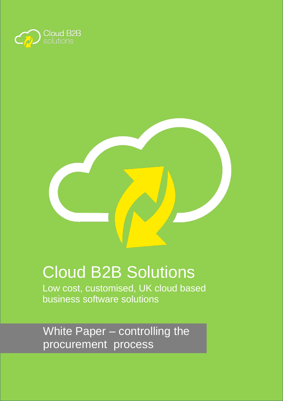



# Cloud B2B Solutions

Low cost, customised, UK cloud based business software solutions

White Paper – controlling the procurement process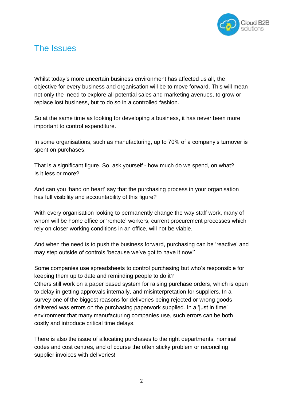

## The Issues

Whilst today's more uncertain business environment has affected us all, the objective for every business and organisation will be to move forward. This will mean not only the need to explore all potential sales and marketing avenues, to grow or replace lost business, but to do so in a controlled fashion.

So at the same time as looking for developing a business, it has never been more important to control expenditure.

In some organisations, such as manufacturing, up to 70% of a company's turnover is spent on purchases.

That is a significant figure. So, ask yourself - how much do we spend, on what? Is it less or more?

And can you 'hand on heart' say that the purchasing process in your organisation has full visibility and accountability of this figure?

With every organisation looking to permanently change the way staff work, many of whom will be home office or 'remote' workers, current procurement processes which rely on closer working conditions in an office, will not be viable.

And when the need is to push the business forward, purchasing can be 'reactive' and may step outside of controls 'because we've got to have it now!'

Some companies use spreadsheets to control purchasing but who's responsible for keeping them up to date and reminding people to do it? Others still work on a paper based system for raising purchase orders, which is open to delay in getting approvals internally, and misinterpretation for suppliers. In a survey one of the biggest reasons for deliveries being rejected or wrong goods delivered was errors on the purchasing paperwork supplied. In a 'just in time' environment that many manufacturing companies use, such errors can be both costly and introduce critical time delays.

There is also the issue of allocating purchases to the right departments, nominal codes and cost centres, and of course the often sticky problem or reconciling supplier invoices with deliveries!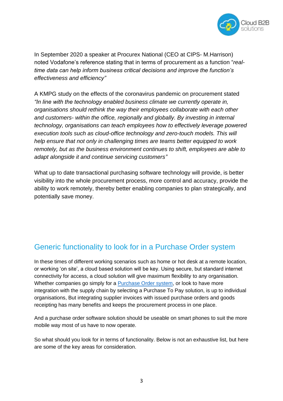

In September 2020 a speaker at Procurex National (CEO at CIPS- M.Harrison) noted Vodafone's reference stating that in terms of procurement as a function "*realtime data can help inform business critical decisions and improve the function's effectiveness and efficiency"*

A KMPG study on the effects of the coronavirus pandemic on procurement stated *"In line with the technology enabled business climate we currently operate in, organisations should rethink the way their employees collaborate with each other and customers- within the office, regionally and globally. By investing in internal technology, organisations can teach employees how to effectively leverage powered execution tools such as cloud-office technology and zero-touch models. This will help ensure that not only in challenging times are teams better equipped to work remotely, but as the business environment continues to shift, employees are able to adapt alongside it and continue servicing customers"*

What up to date transactional purchasing software technology will provide, is better visibility into the whole procurement process, more control and accuracy, provide the ability to work remotely, thereby better enabling companies to plan strategically, and potentially save money.

### Generic functionality to look for in a Purchase Order system

In these times of different working scenarios such as home or hot desk at a remote location, or working 'on site', a cloud based solution will be key. Using secure, but standard internet connectivity for access, a cloud solution will give maximum flexibility to any organisation. Whether companies go simply for a **Purchase Order system**, or look to have more integration with the supply chain by selecting a Purchase To Pay solution, is up to individual organisations, But integrating supplier invoices with issued purchase orders and goods receipting has many benefits and keeps the procurement process in one place.

And a purchase order software solution should be useable on smart phones to suit the more mobile way most of us have to now operate.

So what should you look for in terms of functionality. Below is not an exhaustive list, but here are some of the key areas for consideration.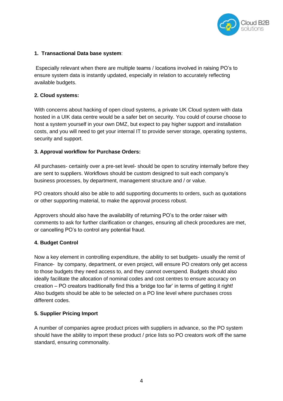

#### **1. Transactional Data base system**:

Especially relevant when there are multiple teams / locations involved in raising PO's to ensure system data is instantly updated, especially in relation to accurately reflecting available budgets.

#### **2. Cloud systems:**

With concerns about hacking of open cloud systems, a private UK Cloud system with data hosted in a UIK data centre would be a safer bet on security. You could of course choose to host a system yourself in your own DMZ, but expect to pay higher support and installation costs, and you will need to get your internal IT to provide server storage, operating systems, security and support.

#### **3. Approval workflow for Purchase Orders:**

All purchases- certainly over a pre-set level- should be open to scrutiny internally before they are sent to suppliers. Workflows should be custom designed to suit each company's business processes, by department, management structure and / or value.

PO creators should also be able to add supporting documents to orders, such as quotations or other supporting material, to make the approval process robust.

Approvers should also have the availability of returning PO's to the order raiser with comments to ask for further clarification or changes, ensuring all check procedures are met, or cancelling PO's to control any potential fraud.

#### **4. Budget Control**

Now a key element in controlling expenditure, the ability to set budgets- usually the remit of Finance- by company, department, or even project, will ensure PO creators only get access to those budgets they need access to, and they cannot overspend. Budgets should also ideally facilitate the allocation of nominal codes and cost centres to ensure accuracy on creation – PO creators traditionally find this a 'bridge too far' in terms of getting it right! Also budgets should be able to be selected on a PO line level where purchases cross different codes.

#### **5. Supplier Pricing Import**

A number of companies agree product prices with suppliers in advance, so the PO system should have the ability to import these product / price lists so PO creators work off the same standard, ensuring commonality.